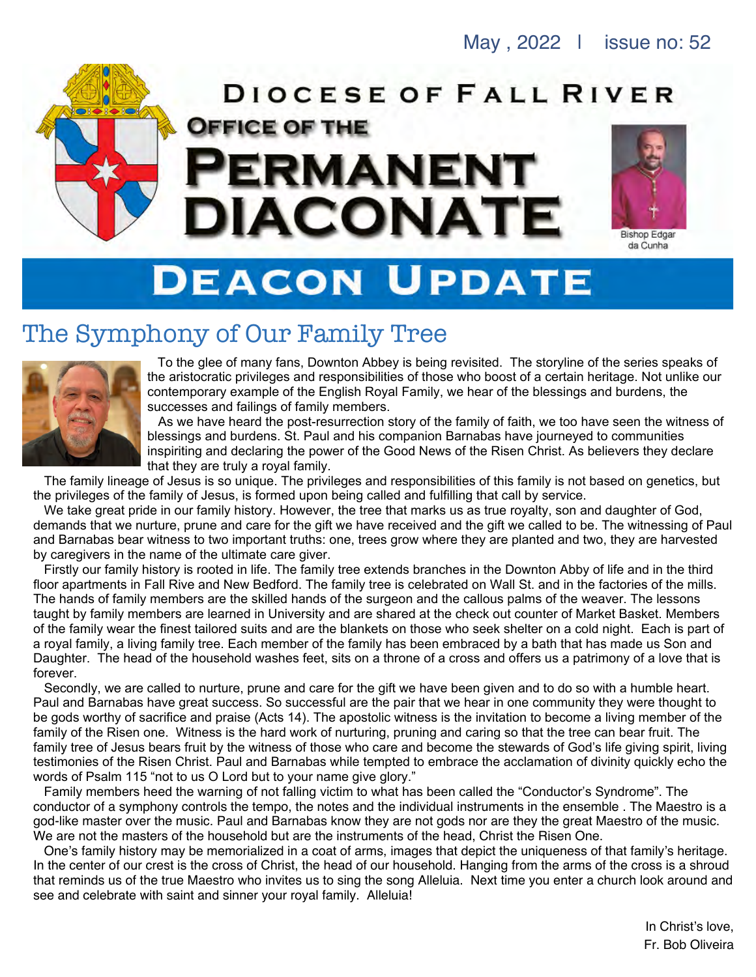

# **DEACON UPDATE**

## The Symphony of Our Family Tree



To the glee of many fans, Downton Abbey is being revisited. The storyline of the series speaks of the aristocratic privileges and responsibilities of those who boost of a certain heritage. Not unlike our contemporary example of the English Royal Family, we hear of the blessings and burdens, the successes and failings of family members.

As we have heard the post-resurrection story of the family of faith, we too have seen the witness of blessings and burdens. St. Paul and his companion Barnabas have journeyed to communities inspiriting and declaring the power of the Good News of the Risen Christ. As believers they declare that they are truly a royal family.

The family lineage of Jesus is so unique. The privileges and responsibilities of this family is not based on genetics, but the privileges of the family of Jesus, is formed upon being called and fulfilling that call by service.

We take great pride in our family history. However, the tree that marks us as true royalty, son and daughter of God, demands that we nurture, prune and care for the gift we have received and the gift we called to be. The witnessing of Paul and Barnabas bear witness to two important truths: one, trees grow where they are planted and two, they are harvested by caregivers in the name of the ultimate care giver.

Firstly our family history is rooted in life. The family tree extends branches in the Downton Abby of life and in the third floor apartments in Fall Rive and New Bedford. The family tree is celebrated on Wall St. and in the factories of the mills. The hands of family members are the skilled hands of the surgeon and the callous palms of the weaver. The lessons taught by family members are learned in University and are shared at the check out counter of Market Basket. Members of the family wear the finest tailored suits and are the blankets on those who seek shelter on a cold night. Each is part of a royal family, a living family tree. Each member of the family has been embraced by a bath that has made us Son and Daughter. The head of the household washes feet, sits on a throne of a cross and offers us a patrimony of a love that is forever.

Secondly, we are called to nurture, prune and care for the gift we have been given and to do so with a humble heart. Paul and Barnabas have great success. So successful are the pair that we hear in one community they were thought to be gods worthy of sacrifice and praise (Acts 14). The apostolic witness is the invitation to become a living member of the family of the Risen one. Witness is the hard work of nurturing, pruning and caring so that the tree can bear fruit. The family tree of Jesus bears fruit by the witness of those who care and become the stewards of God's life giving spirit, living testimonies of the Risen Christ. Paul and Barnabas while tempted to embrace the acclamation of divinity quickly echo the words of Psalm 115 "not to us O Lord but to your name give glory."

Family members heed the warning of not falling victim to what has been called the "Conductor's Syndrome". The conductor of a symphony controls the tempo, the notes and the individual instruments in the ensemble . The Maestro is a god-like master over the music. Paul and Barnabas know they are not gods nor are they the great Maestro of the music. We are not the masters of the household but are the instruments of the head, Christ the Risen One.

One's family history may be memorialized in a coat of arms, images that depict the uniqueness of that family's heritage. In the center of our crest is the cross of Christ, the head of our household. Hanging from the arms of the cross is a shroud that reminds us of the true Maestro who invites us to sing the song Alleluia. Next time you enter a church look around and see and celebrate with saint and sinner your royal family. Alleluia!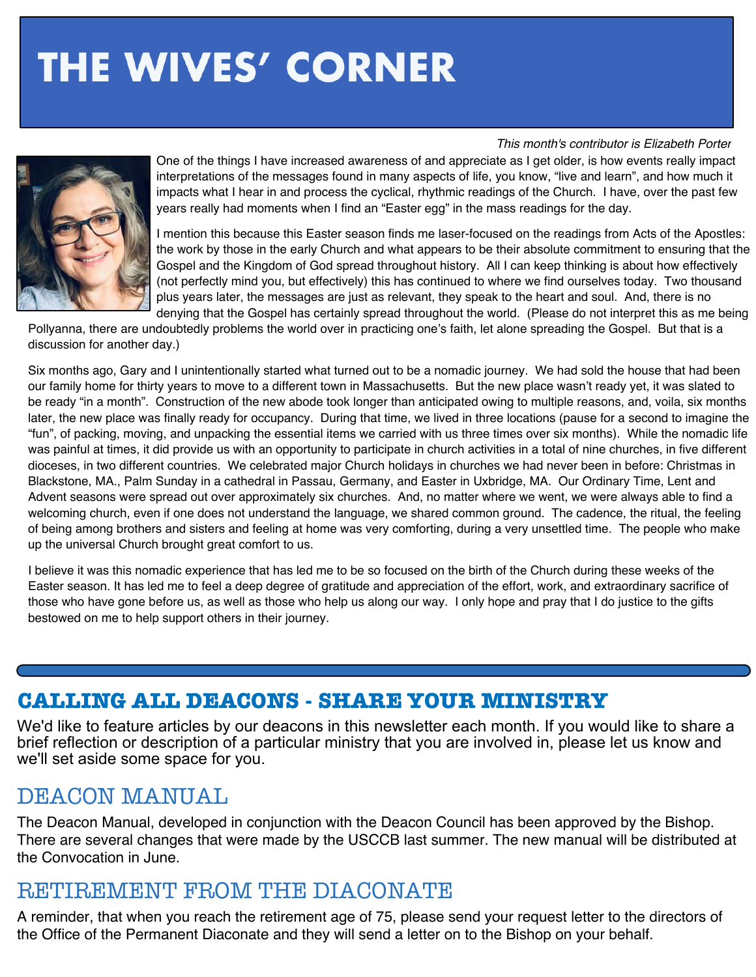# **THE WIVES' CORNER**

#### *This month's contributor is Elizabeth Porter*



One of the things I have increased awareness of and appreciate as I get older, is how events really impact interpretations of the messages found in many aspects of life, you know, "live and learn", and how much it impacts what I hear in and process the cyclical, rhythmic readings of the Church. I have, over the past few years really had moments when I find an "Easter egg" in the mass readings for the day.

I mention this because this Easter season finds me laser-focused on the readings from Acts of the Apostles: the work by those in the early Church and what appears to be their absolute commitment to ensuring that the Gospel and the Kingdom of God spread throughout history. All I can keep thinking is about how effectively (not perfectly mind you, but effectively) this has continued to where we find ourselves today. Two thousand plus years later, the messages are just as relevant, they speak to the heart and soul. And, there is no denying that the Gospel has certainly spread throughout the world. (Please do not interpret this as me being

Pollyanna, there are undoubtedly problems the world over in practicing one's faith, let alone spreading the Gospel. But that is a discussion for another day.)

Six months ago, Gary and I unintentionally started what turned out to be a nomadic journey. We had sold the house that had been our family home for thirty years to move to a different town in Massachusetts. But the new place wasn't ready yet, it was slated to be ready "in a month". Construction of the new abode took longer than anticipated owing to multiple reasons, and, voila, six months later, the new place was finally ready for occupancy. During that time, we lived in three locations (pause for a second to imagine the "fun", of packing, moving, and unpacking the essential items we carried with us three times over six months). While the nomadic life was painful at times, it did provide us with an opportunity to participate in church activities in a total of nine churches, in five different dioceses, in two different countries. We celebrated major Church holidays in churches we had never been in before: Christmas in Blackstone, MA., Palm Sunday in a cathedral in Passau, Germany, and Easter in Uxbridge, MA. Our Ordinary Time, Lent and Advent seasons were spread out over approximately six churches. And, no matter where we went, we were always able to find a welcoming church, even if one does not understand the language, we shared common ground. The cadence, the ritual, the feeling of being among brothers and sisters and feeling at home was very comforting, during a very unsettled time. The people who make up the universal Church brought great comfort to us.

I believe it was this nomadic experience that has led me to be so focused on the birth of the Church during these weeks of the Easter season. It has led me to feel a deep degree of gratitude and appreciation of the effort, work, and extraordinary sacrifice of those who have gone before us, as well as those who help us along our way. I only hope and pray that I do justice to the gifts bestowed on me to help support others in their journey.

## **CALLING ALL DEACONS - SHARE YOUR MINISTRY**

We'd like to feature articles by our deacons in this newsletter each month. If you would like to share a brief reflection or description of a particular ministry that you are involved in, please let us know and we'll set aside some space for you.

## DEACON MANUAL

The Deacon Manual, developed in conjunction with the Deacon Council has been approved by the Bishop. There are several changes that were made by the USCCB last summer. The new manual will be distributed at the Convocation in June.

## RETIREMENT FROM THE DIACONATE

A reminder, that when you reach the retirement age of 75, please send your request letter to the directors of the Office of the Permanent Diaconate and they will send a letter on to the Bishop on your behalf.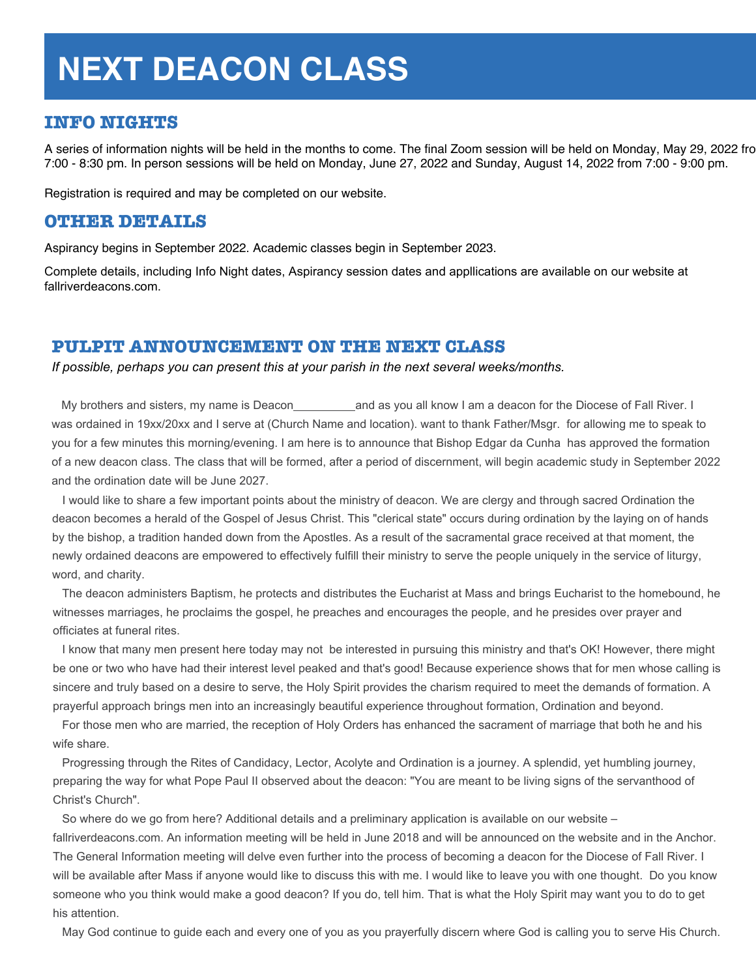# **NEXT DEACON CLASS**

### **INFO NIGHTS**

A series of information nights will be held in the months to come. The final Zoom session will be held on Monday, May 29, 2022 fro 7:00 - 8:30 pm. In person sessions will be held on Monday, June 27, 2022 and Sunday, August 14, 2022 from 7:00 - 9:00 pm.

Registration is required and may be completed on our website.

### **OTHER DETAILS**

Aspirancy begins in September 2022. Academic classes begin in September 2023.

Complete details, including Info Night dates, Aspirancy session dates and appllications are available on our website at fallriverdeacons.com.

#### **PULPIT ANNOUNCEMENT ON THE NEXT CLASS**

*If possible, perhaps you can present this at your parish in the next several weeks/months.*

My brothers and sisters, my name is Deacon and as you all know I am a deacon for the Diocese of Fall River. I was ordained in 19xx/20xx and I serve at (Church Name and location). want to thank Father/Msgr. for allowing me to speak to you for a few minutes this morning/evening. I am here is to announce that Bishop Edgar da Cunha has approved the formation of a new deacon class. The class that will be formed, after a period of discernment, will begin academic study in September 2022 and the ordination date will be June 2027.

I would like to share a few important points about the ministry of deacon. We are clergy and through sacred Ordination the deacon becomes a herald of the Gospel of Jesus Christ. This "clerical state" occurs during ordination by the laying on of hands by the bishop, a tradition handed down from the Apostles. As a result of the sacramental grace received at that moment, the newly ordained deacons are empowered to effectively fulfill their ministry to serve the people uniquely in the service of liturgy, word, and charity.

The deacon administers Baptism, he protects and distributes the Eucharist at Mass and brings Eucharist to the homebound, he witnesses marriages, he proclaims the gospel, he preaches and encourages the people, and he presides over prayer and officiates at funeral rites.

I know that many men present here today may not be interested in pursuing this ministry and that's OK! However, there might be one or two who have had their interest level peaked and that's good! Because experience shows that for men whose calling is sincere and truly based on a desire to serve, the Holy Spirit provides the charism required to meet the demands of formation. A prayerful approach brings men into an increasingly beautiful experience throughout formation, Ordination and beyond.

For those men who are married, the reception of Holy Orders has enhanced the sacrament of marriage that both he and his wife share.

Progressing through the Rites of Candidacy, Lector, Acolyte and Ordination is a journey. A splendid, yet humbling journey, preparing the way for what Pope Paul II observed about the deacon: "You are meant to be living signs of the servanthood of Christ's Church".

So where do we go from here? Additional details and a preliminary application is available on our website – fallriverdeacons.com. An information meeting will be held in June 2018 and will be announced on the website and in the Anchor. The General Information meeting will delve even further into the process of becoming a deacon for the Diocese of Fall River. I will be available after Mass if anyone would like to discuss this with me. I would like to leave you with one thought. Do you know someone who you think would make a good deacon? If you do, tell him. That is what the Holy Spirit may want you to do to get his attention.

May God continue to guide each and every one of you as you prayerfully discern where God is calling you to serve His Church.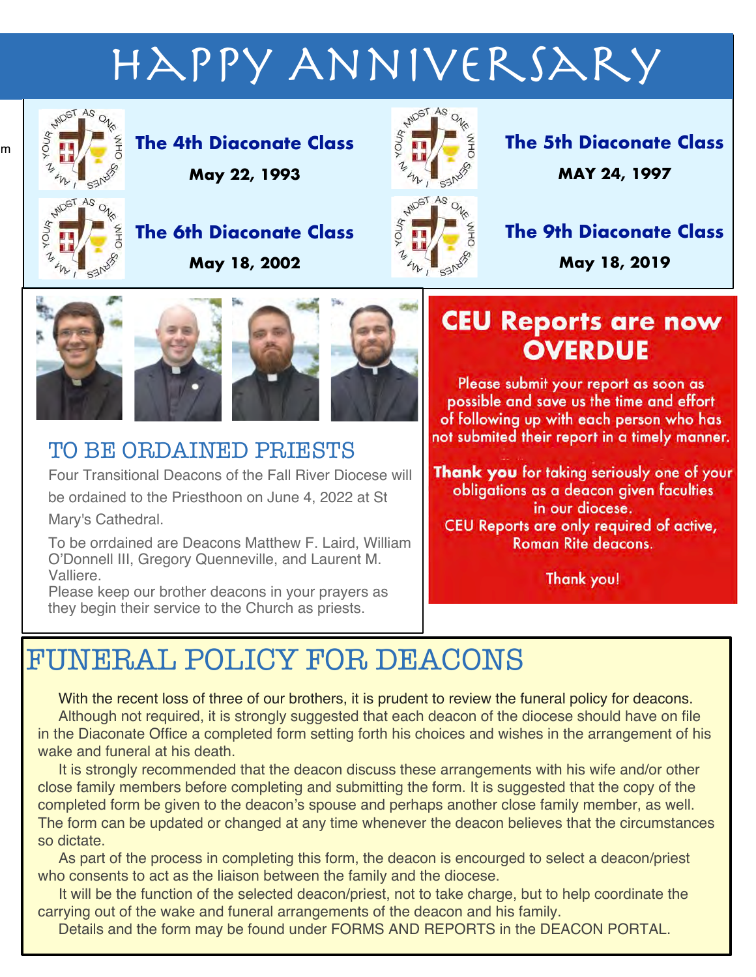# Happy Anniversary



 $\overline{m}$ 

**The 4th Diaconate Class May 22, 1993**



**The 5th Diaconate Class MAY 24, 1997**



**The 6th Diaconate Class May 18, 2002**



**The 9th Diaconate Class**

**May 18, 2019**







# TO BE ORDAINED PRIESTS

Four Transitional Deacons of the Fall River Diocese will be ordained to the Priesthoon on June 4, 2022 at St Mary's Cathedral.

To be orrdained are Deacons Matthew F. Laird, William O'Donnell III, Gregory Quenneville, and Laurent M. Valliere.

Please keep our brother deacons in your prayers as they begin their service to the Church as priests.

# **CEU Reports are now OVERDUE**

Please submit your report as soon as possible and save us the time and effort of following up with each person who has not submited their report in a timely manner.

**Thank you** for taking seriously one of your obligations as a deacon given faculties in our diocese. CEU Reports are only required of active, **Roman Rite deacons.** 

Thank you!

# FUNERAL POLICY FOR DEACONS

With the recent loss of three of our brothers, it is prudent to review the funeral policy for deacons. Although not required, it is strongly suggested that each deacon of the diocese should have on file in the Diaconate Office a completed form setting forth his choices and wishes in the arrangement of his wake and funeral at his death.

It is strongly recommended that the deacon discuss these arrangements with his wife and/or other close family members before completing and submitting the form. It is suggested that the copy of the completed form be given to the deacon's spouse and perhaps another close family member, as well. The form can be updated or changed at any time whenever the deacon believes that the circumstances so dictate.

As part of the process in completing this form, the deacon is encourged to select a deacon/priest who consents to act as the liaison between the family and the diocese.

It will be the function of the selected deacon/priest, not to take charge, but to help coordinate the carrying out of the wake and funeral arrangements of the deacon and his family.

Details and the form may be found under FORMS AND REPORTS in the DEACON PORTAL.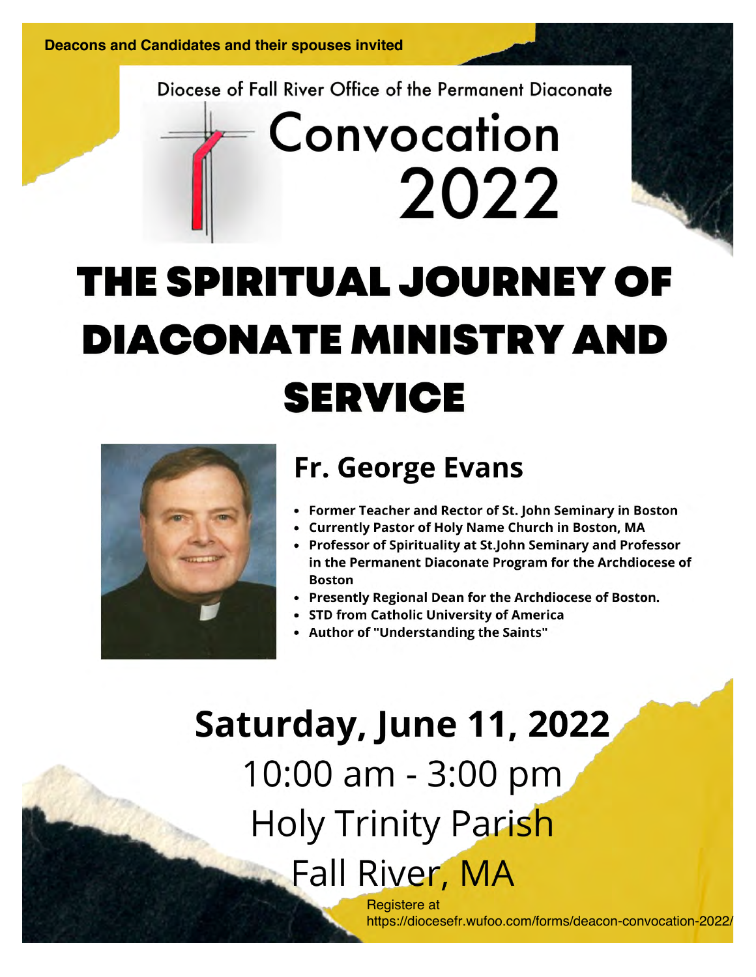Diocese of Fall River Office of the Permanent Diaconate

# Convocation 2022

# THE SPIRITUAL JOURNEY OF **DIACONATE MINISTRY AND SERVICE**



# **Fr. George Evans**

- Former Teacher and Rector of St. John Seminary in Boston
- Currently Pastor of Holy Name Church in Boston, MA
- Professor of Spirituality at St.John Seminary and Professor in the Permanent Diaconate Program for the Archdiocese of **Boston**
- Presently Regional Dean for the Archdiocese of Boston.
- STD from Catholic University of America
- Author of "Understanding the Saints"

Saturday, June 11, 2022 10:00 am - 3:00 pm Holy Trinity Parish **Fall River, MA** Registere at

https://diocesefr.wufoo.com/forms/deacon-convocation-2022/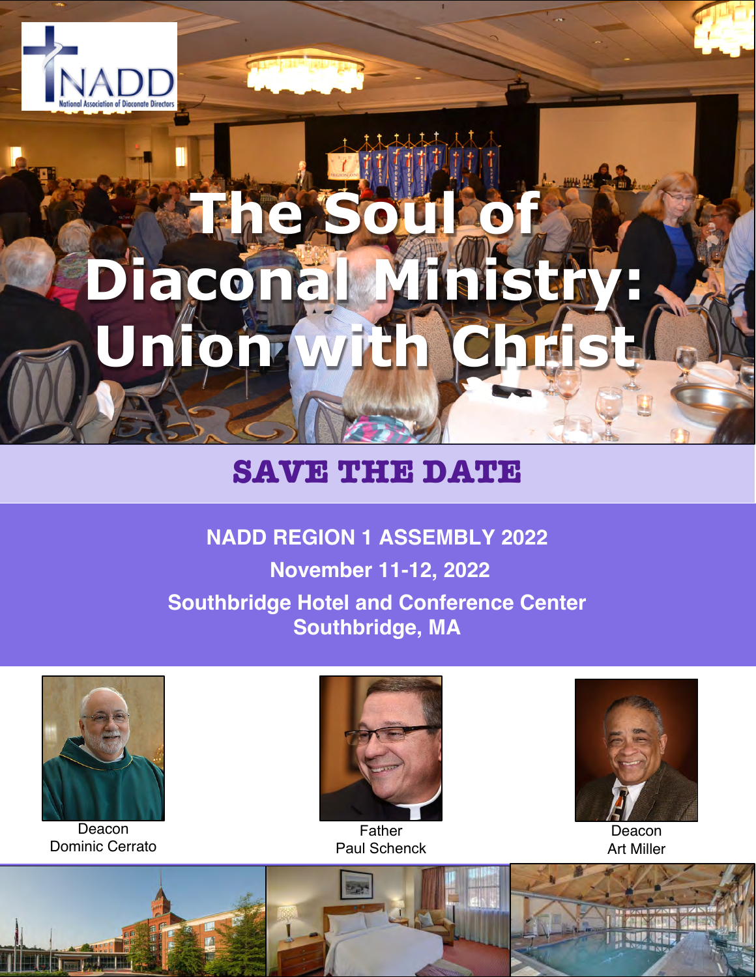

# **The Soul of Diaconal Ministry: Union w**

# **SAVE THE DATE**

# **NADD REGION 1 ASSEMBLY 2022 November 11-12, 2022 Southbridge Hotel and Conference Center**

**Southbridge, MA**



Deacon Dominic Cerrato



Father Paul Schenck



Deacon Art Miller